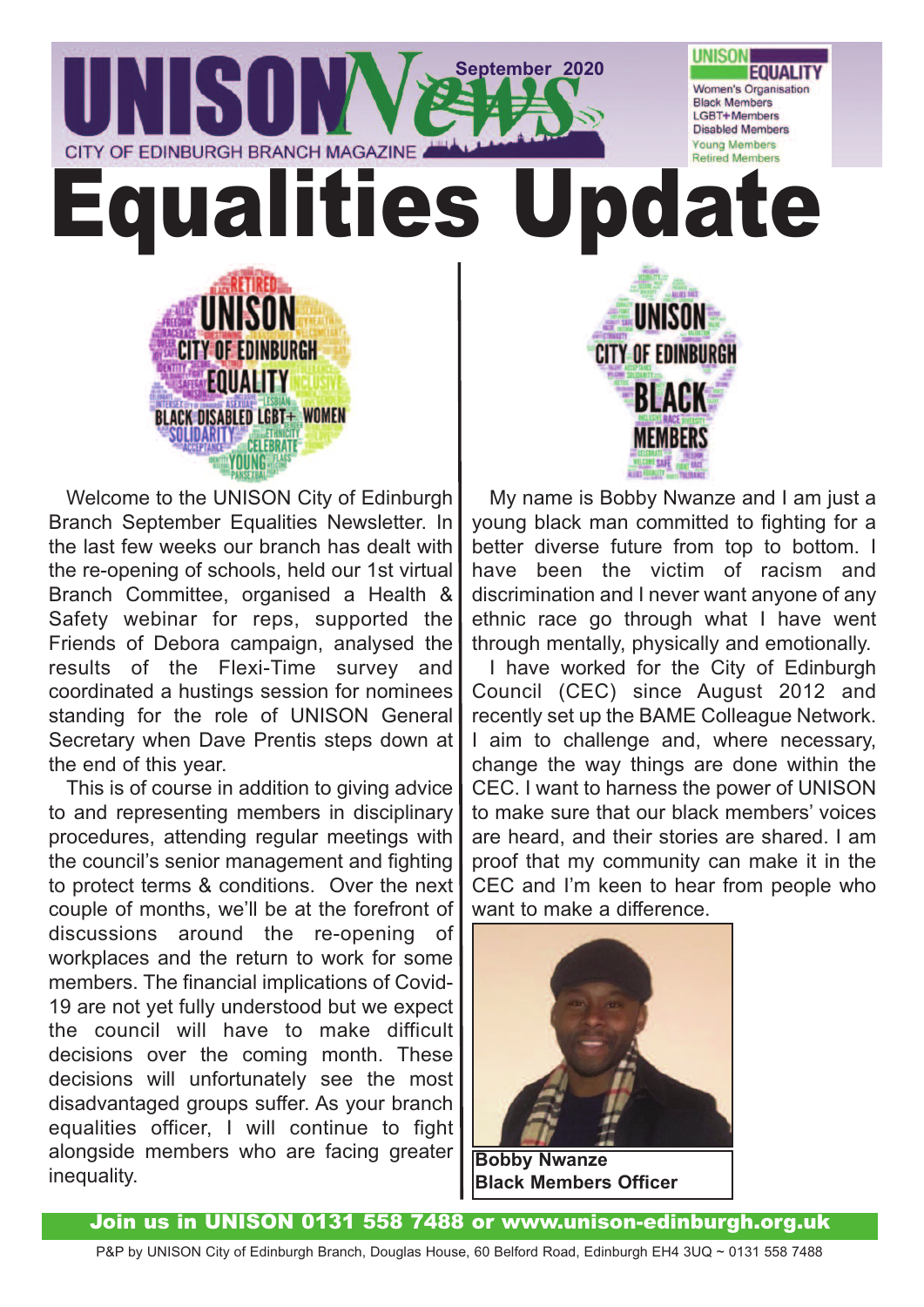

Welcome to the UNISON City of Edinburgh Branch September Equalities Newsletter. In the last few weeks our branch has dealt with the re-opening of schools, held our 1st virtual Branch Committee, organised a Health & Safety webinar for reps, supported the Friends of Debora campaign, analysed the results of the Flexi-Time survey and coordinated a hustings session for nominees standing for the role of UNISON General Secretary when Dave Prentis steps down at the end of this year.

This is of course in addition to giving advice to and representing members in disciplinary procedures, attending regular meetings with the council's senior management and fighting to protect terms & conditions. Over the next couple of months, we'll be at the forefront of discussions around the re-opening of workplaces and the return to work for some members. The financial implications of Covid-19 are not yet fully understood but we expect the council will have to make difficult decisions over the coming month. These decisions will unfortunately see the most disadvantaged groups suffer. As your branch equalities officer, I will continue to fight alongside members who are facing greater inequality.

My name is Bobby Nwanze and I am just a young black man committed to fighting for a better diverse future from top to bottom. I have been the victim of racism and discrimination and I never want anyone of any ethnic race go through what I have went through mentally, physically and emotionally.

I have worked for the City of Edinburgh Council (CEC) since August 2012 and recently set up the BAME Colleague Network. I aim to challenge and, where necessary, change the way things are done within the CEC. I want to harness the power of UNISON to make sure that our black members' voices are heard, and their stories are shared. I am proof that my community can make it in the CEC and I'm keen to hear from people who want to make a difference.



**Black Members Officer**

Join us in UNISON 0131 558 7488 or www.unison-edinburgh.org.uk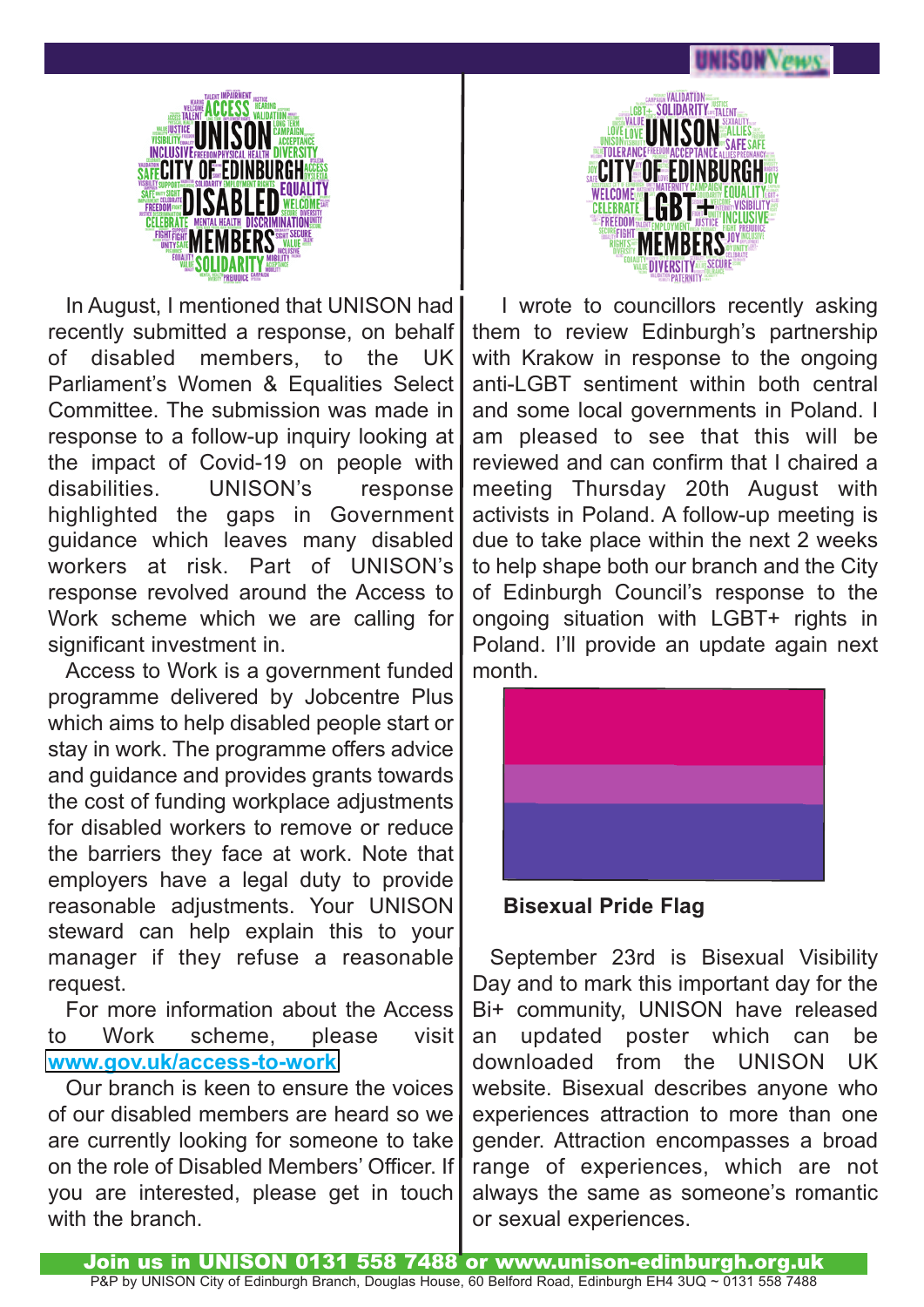

In August, I mentioned that UNISON had recently submitted a response, on behalf of disabled members, to the UK Parliament's Women & Equalities Select Committee. The submission was made in response to a follow-up inquiry looking at the impact of Covid-19 on people with disabilities. UNISON's response highlighted the gaps in Government guidance which leaves many disabled workers at risk. Part of UNISON's response revolved around the Access to Work scheme which we are calling for significant investment in.

Access to Work is a government funded programme delivered by Jobcentre Plus which aims to help disabled people start or stay in work. The programme offers advice and guidance and provides grants towards the cost of funding workplace adjustments for disabled workers to remove or reduce the barriers they face at work. Note that employers have a legal duty to provide reasonable adjustments. Your UNISON steward can help explain this to your manager if they refuse a reasonable request.

For more information about the Access to Work scheme, please visit **[www.gov.uk/access-to-work](www.gov.uk/access-to-work )**

Our branch is keen to ensure the voices of our disabled members are heard so we are currently looking for someone to take on the role of Disabled Members' Officer. If you are interested, please get in touch with the branch.



I wrote to councillors recently asking them to review Edinburgh's partnership with Krakow in response to the ongoing anti-LGBT sentiment within both central and some local governments in Poland. I am pleased to see that this will be reviewed and can confirm that I chaired a meeting Thursday 20th August with activists in Poland. A follow-up meeting is due to take place within the next 2 weeks to help shape both our branch and the City of Edinburgh Council's response to the ongoing situation with LGBT+ rights in Poland. I'll provide an update again next month.



**Bisexual Pride Flag**

September 23rd is Bisexual Visibility Day and to mark this important day for the Bi+ community, UNISON have released an updated poster which can be downloaded from the UNISON UK website. Bisexual describes anyone who experiences attraction to more than one gender. Attraction encompasses a broad range of experiences, which are not always the same as someone's romantic or sexual experiences.